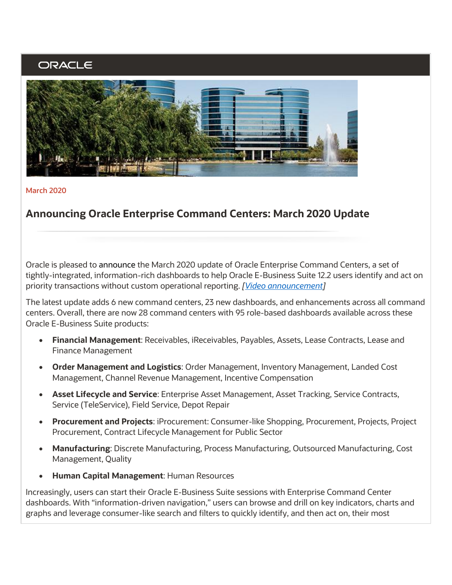# ORACLE



**March 2020**

# **Announcing Oracle Enterprise Command Centers: March 2020 Update**

Oracle is pleased to announce the March 2020 update of Oracle Enterprise Command Centers, a set of tightly-integrated, information-rich dashboards to help Oracle E-Business Suite 12.2 users identify and act on priority transactions without custom operational reporting. *[\[Video announcement\]](https://learn.oracle.com/ebs-ecc-overview)*

The latest update adds 6 new command centers, 23 new dashboards, and enhancements across all command centers. Overall, there are now 28 command centers with 95 role-based dashboards available across these Oracle E-Business Suite products:

- **Financial Management**: Receivables, iReceivables, Payables, Assets, Lease Contracts, Lease and Finance Management
- **Order Management and Logistics**: Order Management, Inventory Management, Landed Cost Management, Channel Revenue Management, Incentive Compensation
- **Asset Lifecycle and Service**: Enterprise Asset Management, Asset Tracking, Service Contracts, Service (TeleService), Field Service, Depot Repair
- **Procurement and Projects**: iProcurement: Consumer-like Shopping, Procurement, Projects, Project Procurement, Contract Lifecycle Management for Public Sector
- **Manufacturing**: Discrete Manufacturing, Process Manufacturing, Outsourced Manufacturing, Cost Management, Quality
- **Human Capital Management**: Human Resources

Increasingly, users can start their Oracle E-Business Suite sessions with Enterprise Command Center dashboards. With "information-driven navigation," users can browse and drill on key indicators, charts and graphs and leverage consumer-like search and filters to quickly identify, and then act on, their most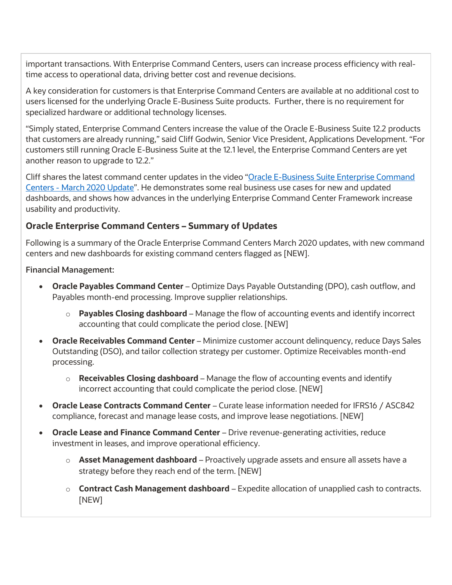important transactions. With Enterprise Command Centers, users can increase process efficiency with realtime access to operational data, driving better cost and revenue decisions.

A key consideration for customers is that Enterprise Command Centers are available at no additional cost to users licensed for the underlying Oracle E-Business Suite products. Further, there is no requirement for specialized hardware or additional technology licenses.

"Simply stated, Enterprise Command Centers increase the value of the Oracle E-Business Suite 12.2 products that customers are already running," said Cliff Godwin, Senior Vice President, Applications Development. "For customers still running Oracle E-Business Suite at the 12.1 level, the Enterprise Command Centers are yet another reason to upgrade to 12.2."

Cliff shares the latest command center updates in the video "[Oracle E-Business Suite Enterprise Command](https://learn.oracle.com/ebs-ecc-overview)  Centers - [March 2020 Update](https://learn.oracle.com/ebs-ecc-overview)". He demonstrates some real business use cases for new and updated dashboards, and shows how advances in the underlying Enterprise Command Center Framework increase usability and productivity.

## **Oracle Enterprise Command Centers – Summary of Updates**

Following is a summary of the Oracle Enterprise Command Centers March 2020 updates, with new command centers and new dashboards for existing command centers flagged as [NEW].

**Financial Management:**

- **Oracle Payables Command Center** Optimize Days Payable Outstanding (DPO), cash outflow, and Payables month-end processing. Improve supplier relationships.
	- o **Payables Closing dashboard** Manage the flow of accounting events and identify incorrect accounting that could complicate the period close. [NEW]
- **Oracle Receivables Command Center** Minimize customer account delinquency, reduce Days Sales Outstanding (DSO), and tailor collection strategy per customer. Optimize Receivables month-end processing.
	- o **Receivables Closing dashboard** Manage the flow of accounting events and identify incorrect accounting that could complicate the period close. [NEW]
- **Oracle Lease Contracts Command Center** Curate lease information needed for IFRS16 / ASC842 compliance, forecast and manage lease costs, and improve lease negotiations. [NEW]
- **Oracle Lease and Finance Command Center** Drive revenue-generating activities, reduce investment in leases, and improve operational efficiency.
	- o **Asset Management dashboard** Proactively upgrade assets and ensure all assets have a strategy before they reach end of the term. [NEW]
	- o **Contract Cash Management dashboard**  Expedite allocation of unapplied cash to contracts. [NEW]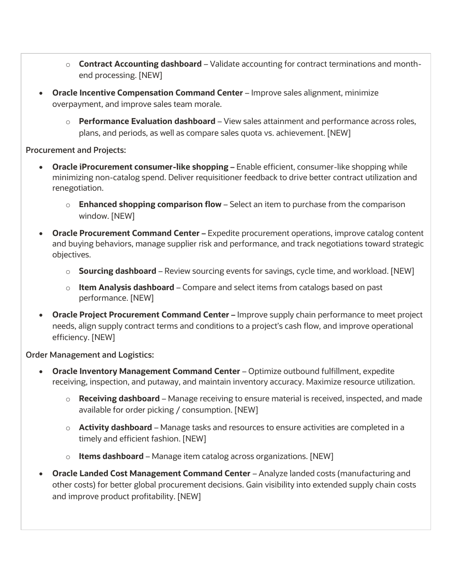- o **Contract Accounting dashboard** Validate accounting for contract terminations and monthend processing. [NEW]
- **Oracle Incentive Compensation Command Center** Improve sales alignment, minimize overpayment, and improve sales team morale.
	- o **Performance Evaluation dashboard**  View sales attainment and performance across roles, plans, and periods, as well as compare sales quota vs. achievement. [NEW]

**Procurement and Projects:**

- **Oracle iProcurement consumer-like shopping –** Enable efficient, consumer-like shopping while minimizing non-catalog spend. Deliver requisitioner feedback to drive better contract utilization and renegotiation.
	- o **Enhanced shopping comparison flow** Select an item to purchase from the comparison window. [NEW]
- **Oracle Procurement Command Center –** Expedite procurement operations, improve catalog content and buying behaviors, manage supplier risk and performance, and track negotiations toward strategic objectives.
	- o **Sourcing dashboard**  Review sourcing events for savings, cycle time, and workload. [NEW]
	- o **Item Analysis dashboard** Compare and select items from catalogs based on past performance. [NEW]
- **Oracle Project Procurement Command Center** Improve supply chain performance to meet project needs, align supply contract terms and conditions to a project's cash flow, and improve operational efficiency. [NEW]

### **Order Management and Logistics:**

- **Oracle Inventory Management Command Center** Optimize outbound fulfillment, expedite receiving, inspection, and putaway, and maintain inventory accuracy. Maximize resource utilization.
	- o **Receiving dashboard**  Manage receiving to ensure material is received, inspected, and made available for order picking / consumption. [NEW]
	- o **Activity dashboard** Manage tasks and resources to ensure activities are completed in a timely and efficient fashion. [NEW]
	- o **Items dashboard** Manage item catalog across organizations. [NEW]
- **Oracle Landed Cost Management Command Center** Analyze landed costs (manufacturing and other costs) for better global procurement decisions. Gain visibility into extended supply chain costs and improve product profitability. [NEW]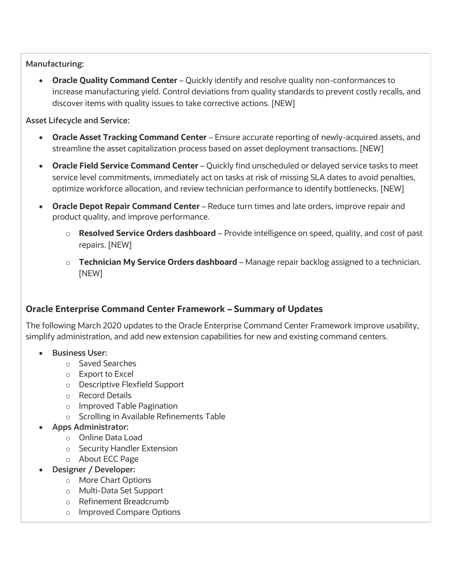#### **Manufacturing:**

• **Oracle Quality Command Center** – Quickly identify and resolve quality non-conformances to increase manufacturing yield. Control deviations from quality standards to prevent costly recalls, and discover items with quality issues to take corrective actions. [NEW]

#### **Asset Lifecycle and Service:**

- **Oracle Asset Tracking Command Center**  Ensure accurate reporting of newly-acquired assets, and streamline the asset capitalization process based on asset deployment transactions. [NEW]
- **Oracle Field Service Command Center** Quickly find unscheduled or delayed service tasks to meet service level commitments, immediately act on tasks at risk of missing SLA dates to avoid penalties, optimize workforce allocation, and review technician performance to identify bottlenecks. [NEW]
- **Oracle Depot Repair Command Center** Reduce turn times and late orders, improve repair and product quality, and improve performance.
	- o **Resolved Service Orders dashboard**  Provide intelligence on speed, quality, and cost of past repairs. [NEW]
	- o **Technician My Service Orders dashboard** Manage repair backlog assigned to a technician. [NEW]

## **Oracle Enterprise Command Center Framework – Summary of Updates**

The following March 2020 updates to the Oracle Enterprise Command Center Framework improve usability, simplify administration, and add new extension capabilities for new and existing command centers.

- **Business User:**
	- o Saved Searches
	- o Export to Excel
	- o Descriptive Flexfield Support
	- o Record Details
	- o Improved Table Pagination
	- o Scrolling in Available Refinements Table

#### • **Apps Administrator:**

- o Online Data Load
- o Security Handler Extension
- o About ECC Page
- **Designer / Developer:**
	- o More Chart Options
	- o Multi-Data Set Support
	- o Refinement Breadcrumb
	- o Improved Compare Options